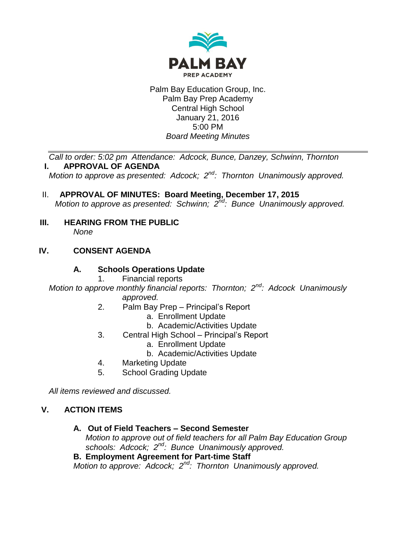

Palm Bay Education Group, Inc. Palm Bay Prep Academy Central High School January 21, 2016 5:00 PM *Board Meeting Minutes*

*Call to order: 5:02 pm Attendance: Adcock, Bunce, Danzey, Schwinn, Thornton* **I. APPROVAL OF AGENDA**

*Motion to approve as presented: Adcock; 2nd: Thornton Unanimously approved.*

- II. **APPROVAL OF MINUTES: Board Meeting, December 17, 2015** *Motion to approve as presented: Schwinn; 2nd: Bunce Unanimously approved.*
- **III. HEARING FROM THE PUBLIC** *None*

# **IV. CONSENT AGENDA**

### **A. Schools Operations Update**

1. Financial reports

*Motion to approve monthly financial reports: Thornton; 2nd: Adcock Unanimously approved.*

- 2. Palm Bay Prep Principal's Report
	- a. Enrollment Update
	- b. Academic/Activities Update
- 3. Central High School Principal's Report
	- a. Enrollment Update
		- b. Academic/Activities Update
- 4. Marketing Update
- 5. School Grading Update

*All items reviewed and discussed.*

### **V. ACTION ITEMS**

#### **A. Out of Field Teachers – Second Semester**

*Motion to approve out of field teachers for all Palm Bay Education Group schools: Adcock; 2nd: Bunce Unanimously approved.*

### **B. Employment Agreement for Part-time Staff**

*Motion to approve: Adcock; 2nd: Thornton Unanimously approved.*